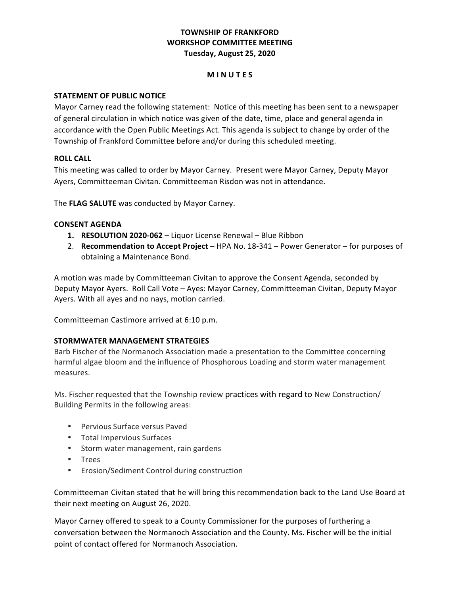# **TOWNSHIP OF FRANKFORD WORKSHOP COMMITTEE MEETING Tuesday, August 25, 2020**

## **M I N U T E S**

# **STATEMENT OF PUBLIC NOTICE**

 Mayor Carney read the following statement: Notice of this meeting has been sent to a newspaper of general circulation in which notice was given of the date, time, place and general agenda in accordance with the Open Public Meetings Act. This agenda is subject to change by order of the Township of Frankford Committee before and/or during this scheduled meeting.

# **ROLL CALL**

 This meeting was called to order by Mayor Carney. Present were Mayor Carney, Deputy Mayor Ayers, Committeeman Civitan. Committeeman Risdon was not in attendance.

 The **FLAG SALUTE** was conducted by Mayor Carney.

### **CONSENT AGENDA**

- **1. RESOLUTION 2020-062** Liquor License Renewal Blue Ribbon
- 2. Recommendation to Accept Project HPA No. 18-341 Power Generator for purposes of obtaining a Maintenance Bond.

A motion was made by Committeeman Civitan to approve the Consent Agenda, seconded by Deputy Mayor Ayers. Roll Call Vote - Ayes: Mayor Carney, Committeeman Civitan, Deputy Mayor Ayers. With all ayes and no nays, motion carried.

Committeeman Castimore arrived at 6:10 p.m.

## **STORMWATER MANAGEMENT STRATEGIES**

Barb Fischer of the Normanoch Association made a presentation to the Committee concerning harmful algae bloom and the influence of Phosphorous Loading and storm water management measures.

 Ms. Fischer requested that the Township review practices with regard to New Construction/ Building Permits in the following areas: 

- Pervious Surface versus Paved
- • Total Impervious Surfaces
- • Storm water management, rain gardens
- • Trees
- • Erosion/Sediment Control during construction

Committeeman Civitan stated that he will bring this recommendation back to the Land Use Board at their next meeting on August 26, 2020.

Mayor Carney offered to speak to a County Commissioner for the purposes of furthering a conversation between the Normanoch Association and the County. Ms. Fischer will be the initial point of contact offered for Normanoch Association.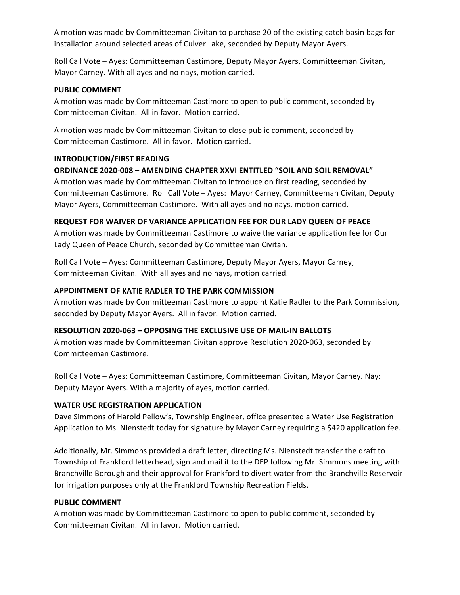A motion was made by Committeeman Civitan to purchase 20 of the existing catch basin bags for installation around selected areas of Culver Lake, seconded by Deputy Mayor Ayers. 

Roll Call Vote - Ayes: Committeeman Castimore, Deputy Mayor Ayers, Committeeman Civitan, Mayor Carney. With all ayes and no nays, motion carried.

#### **PUBLIC COMMENT**

A motion was made by Committeeman Castimore to open to public comment, seconded by Committeeman Civitan. All in favor. Motion carried.

A motion was made by Committeeman Civitan to close public comment, seconded by Committeeman Castimore. All in favor. Motion carried.

#### **INTRODUCTION/FIRST READING**

# **ORDINANCE 2020-008 – AMENDING CHAPTER XXVI ENTITLED "SOIL AND SOIL REMOVAL"**

A motion was made by Committeeman Civitan to introduce on first reading, seconded by Committeeman Castimore. Roll Call Vote - Ayes: Mayor Carney, Committeeman Civitan, Deputy Mayor Ayers, Committeeman Castimore. With all ayes and no nays, motion carried.

#### **REQUEST FOR WAIVER OF VARIANCE APPLICATION FEE FOR OUR LADY QUEEN OF PEACE**

A motion was made by Committeeman Castimore to waive the variance application fee for Our Lady Queen of Peace Church, seconded by Committeeman Civitan.

Roll Call Vote - Ayes: Committeeman Castimore, Deputy Mayor Ayers, Mayor Carney, Committeeman Civitan. With all ayes and no nays, motion carried.

#### **APPOINTMENT OF KATIE RADLER TO THE PARK COMMISSION**

A motion was made by Committeeman Castimore to appoint Katie Radler to the Park Commission, seconded by Deputy Mayor Ayers. All in favor. Motion carried.

### **RESOLUTION 2020-063 – OPPOSING THE EXCLUSIVE USE OF MAIL-IN BALLOTS**

A motion was made by Committeeman Civitan approve Resolution 2020-063, seconded by Committeeman Castimore. 

Roll Call Vote - Ayes: Committeeman Castimore, Committeeman Civitan, Mayor Carney. Nay: Deputy Mayor Ayers. With a majority of ayes, motion carried.

### **WATER USE REGISTRATION APPLICATION**

Dave Simmons of Harold Pellow's, Township Engineer, office presented a Water Use Registration Application to Ms. Nienstedt today for signature by Mayor Carney requiring a \$420 application fee.

Additionally, Mr. Simmons provided a draft letter, directing Ms. Nienstedt transfer the draft to Township of Frankford letterhead, sign and mail it to the DEP following Mr. Simmons meeting with Branchville Borough and their approval for Frankford to divert water from the Branchville Reservoir for irrigation purposes only at the Frankford Township Recreation Fields.

### **PUBLIC COMMENT**

A motion was made by Committeeman Castimore to open to public comment, seconded by Committeeman Civitan. All in favor. Motion carried.